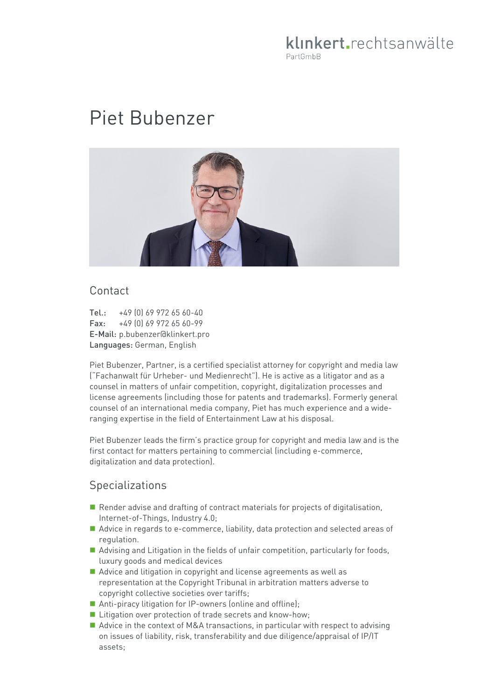# klinkert.rechtsanwälte PartGmbB

# Piet Bubenzer



#### Contact

Tel.: +49 (0) 69 972 65 60-40  $\text{Fax:} \quad +49 \quad 01 \quad 69 \quad 972 \quad 65 \quad 60 - 99$ E-Mail: p.bubenzer@klinkert.pro Languages: German, English

Piet Bubenzer, Partner, is a certified specialist attorney for copyright and media law ("Fachanwalt für Urheber- und Medienrecht"). He is active as a litigator and as a counsel in matters of unfair competition, copyright, digitalization processes and license agreements (including those for patents and trademarks). Formerly general counsel of an international media company, Piet has much experience and a wideranging expertise in the field of Entertainment Law at his disposal.

Piet Bubenzer leads the firm's practice group for copyright and media law and is the first contact for matters pertaining to commercial (including e-commerce, digitalization and data protection).

# **Specializations**

- Render advise and drafting of contract materials for projects of digitalisation, Internet-of-Things, Industry 4.0;
- Advice in regards to e-commerce, liability, data protection and selected areas of regulation.
- Advising and Litigation in the fields of unfair competition, particularly for foods, luxury goods and medical devices
- Advice and litigation in copyright and license agreements as well as representation at the Copyright Tribunal in arbitration matters adverse to copyright collective societies over tariffs;
- Anti-piracy litigation for IP-owners (online and offline);
- Litigation over protection of trade secrets and know-how;
- Advice in the context of M&A transactions, in particular with respect to advising on issues of liability, risk, transferability and due diligence/appraisal of IP/IT assets;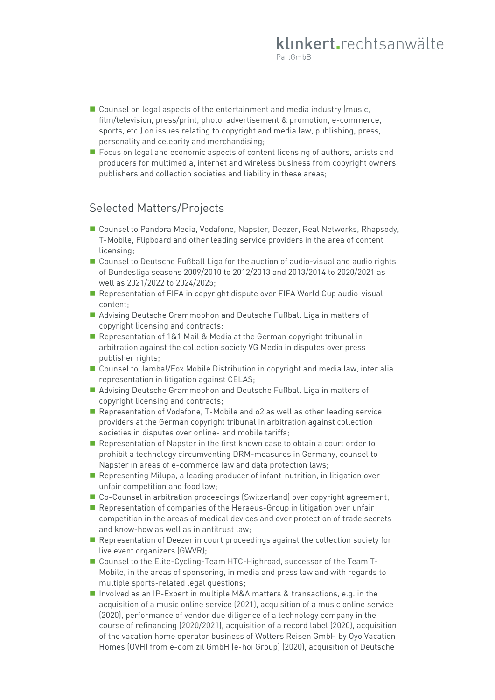- $\blacksquare$  Counsel on legal aspects of the entertainment and media industry (music, film/television, press/print, photo, advertisement & promotion, e-commerce, sports, etc.) on issues relating to copyright and media law, publishing, press, personality and celebrity and merchandising;
- **F** Focus on legal and economic aspects of content licensing of authors, artists and producers for multimedia, internet and wireless business from copyright owners, publishers and collection societies and liability in these areas;

#### Selected Matters/Projects

- Counsel to Pandora Media, Vodafone, Napster, Deezer, Real Networks, Rhapsody, T-Mobile, Flipboard and other leading service providers in the area of content licensing;
- Counsel to Deutsche Fußball Liga for the auction of audio-visual and audio rights of Bundesliga seasons 2009/2010 to 2012/2013 and 2013/2014 to 2020/2021 as well as 2021/2022 to 2024/2025;
- Representation of FIFA in copyright dispute over FIFA World Cup audio-visual content;
- Advising Deutsche Grammophon and Deutsche Fußball Liga in matters of copyright licensing and contracts;
- Representation of 1&1 Mail & Media at the German copyright tribunal in arbitration against the collection society VG Media in disputes over press publisher rights;
- Counsel to Jamba!/Fox Mobile Distribution in copyright and media law, inter alia representation in litigation against CELAS;
- Advising Deutsche Grammophon and Deutsche Fußball Liga in matters of copyright licensing and contracts;
- Representation of Vodafone, T-Mobile and o2 as well as other leading service providers at the German copyright tribunal in arbitration against collection societies in disputes over online- and mobile tariffs;
- Representation of Napster in the first known case to obtain a court order to prohibit a technology circumventing DRM-measures in Germany, counsel to Napster in areas of e-commerce law and data protection laws;
- **Representing Milupa, a leading producer of infant-nutrition, in litigation over** unfair competition and food law;
- Co-Counsel in arbitration proceedings (Switzerland) over copyright agreement;
- Representation of companies of the Heraeus-Group in litigation over unfair competition in the areas of medical devices and over protection of trade secrets and know-how as well as in antitrust law;
- **Representation of Deezer in court proceedings against the collection society for** live event organizers (GWVR);
- Counsel to the Elite-Cycling-Team HTC-Highroad, successor of the Team T-Mobile, in the areas of sponsoring, in media and press law and with regards to multiple sports-related legal questions;
- Involved as an IP-Expert in multiple M&A matters & transactions, e.g. in the acquisition of a music online service (2021), acquisition of a music online service (2020), performance of vendor due diligence of a technology company in the course of refinancing (2020/2021), acquisition of a record label (2020), acquisition of the vacation home operator business of Wolters Reisen GmbH by Oyo Vacation Homes (OVH) from e-domizil GmbH (e-hoi Group) (2020), acquisition of Deutsche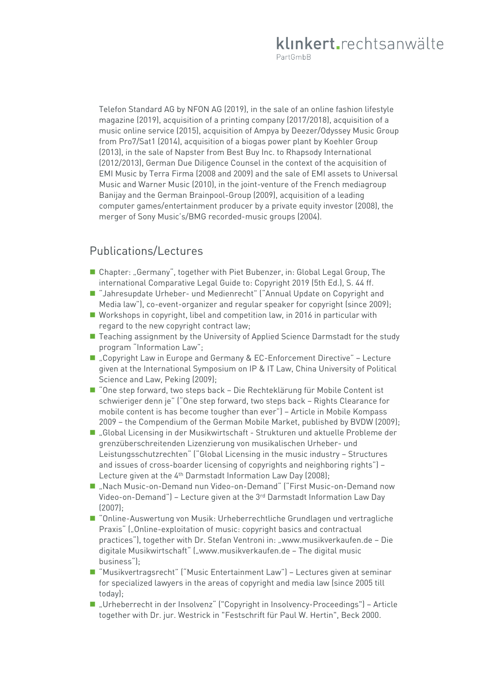Telefon Standard AG by NFON AG (2019), in the sale of an online fashion lifestyle magazine (2019), acquisition of a printing company (2017/2018), acquisition of a music online service (2015), acquisition of Ampya by Deezer/Odyssey Music Group from Pro7/Sat1 (2014), acquisition of a biogas power plant by Koehler Group (2013), in the sale of Napster from Best Buy Inc. to Rhapsody International (2012/2013), German Due Diligence Counsel in the context of the acquisition of EMI Music by Terra Firma (2008 and 2009) and the sale of EMI assets to Universal Music and Warner Music (2010), in the joint-venture of the French mediagroup Banijay and the German Brainpool-Group (2009), acquisition of a leading computer games/entertainment producer by a private equity investor (2008), the merger of Sony Music's/BMG recorded-music groups (2004).

# Publications/Lectures

- Chapter: "Germany", together with Piet Bubenzer, in: Global Legal Group, The international Comparative Legal Guide to: Copyright 2019 (5th Ed.), S. 44 ff.
- "Jahresupdate Urheber- und Medienrecht" ("Annual Update on Copyright and Media law"), co-event-organizer and regular speaker for copyright (since 2009);
- Workshops in copyright, libel and competition law, in 2016 in particular with regard to the new copyright contract law;
- Teaching assignment by the University of Applied Science Darmstadt for the study program "Information Law";
- "Copyright Law in Europe and Germany & EC-Enforcement Directive" Lecture given at the International Symposium on IP & IT Law, China University of Political Science and Law, Peking (2009);
- "One step forward, two steps back Die Rechteklärung für Mobile Content ist schwieriger denn je" ("One step forward, two steps back – Rights Clearance for mobile content is has become tougher than ever") – Article in Mobile Kompass 2009 – the Compendium of the German Mobile Market, published by BVDW (2009);
- "Global Licensing in der Musikwirtschaft Strukturen und aktuelle Probleme der grenzüberschreitenden Lizenzierung von musikalischen Urheber- und Leistungsschutzrechten" ("Global Licensing in the music industry – Structures and issues of cross-boarder licensing of copyrights and neighboring rights") – Lecture given at the 4<sup>th</sup> Darmstadt Information Law Day (2008);
- "Nach Music-on-Demand nun Video-on-Demand" ("First Music-on-Demand now Video-on-Demand") – Lecture given at the 3rd Darmstadt Information Law Day (2007);
- "Online-Auswertung von Musik: Urheberrechtliche Grundlagen und vertragliche Praxis" ("Online-exploitation of music: copyright basics and contractual practices"), together with Dr. Stefan Ventroni in: "www.musikverkaufen.de - Die digitale Musikwirtschaft" ("www.musikverkaufen.de - The digital music business");
- "Musikvertragsrecht" ("Music Entertainment Law") Lectures given at seminar for specialized lawyers in the areas of copyright and media law (since 2005 till today);
- "Urheberrecht in der Insolvenz" ("Copyright in Insolvency-Proceedings") Article together with Dr. jur. Westrick in "Festschrift für Paul W. Hertin", Beck 2000.